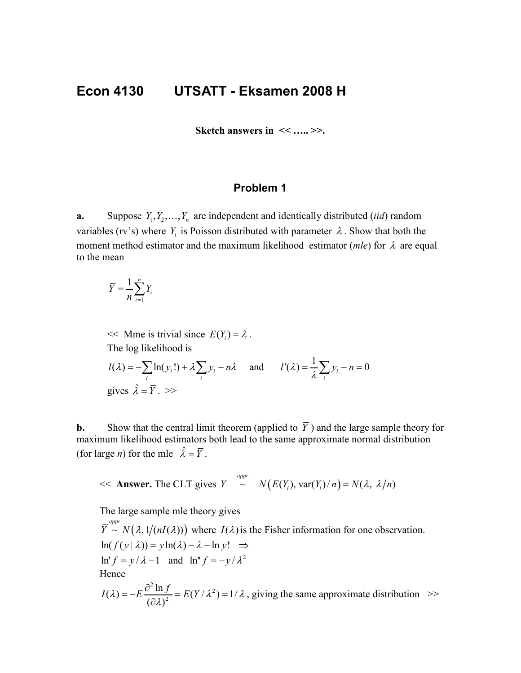# **Econ 4130 UTSATT - Eksamen 2008 H**

**Sketch answers in << ….. >>.**

## **Problem 1**

**a.** Suppose  $Y_1, Y_2, \ldots, Y_n$  are independent and identically distributed *(iid)* random variables (rv's) where  $Y_i$  is Poisson distributed with parameter  $\lambda$ . Show that both the moment method estimator and the maximum likelihood estimator (*mle*) for λ are equal to the mean

$$
\overline{Y} = \frac{1}{n} \sum_{i=1}^{n} Y_i
$$

 $<<$  Mme is trivial since  $E(Y_i) = \lambda$ . The log likelihood is  $(\lambda) = -\sum \ln(y_i!) + \lambda \sum y_i$  $l(\lambda) = -\sum_{i} \ln(y_i!) + \lambda \sum_{i} y_i - n\lambda$  and  $l'(\lambda) = \frac{1}{\lambda} \sum_{i} y_i - n = 0$  $l'(\lambda) = \frac{1}{\lambda} \sum_i y_i - n =$ gives  $\hat{\lambda} = \overline{Y}$ . >>

**b.** Show that the central limit theorem (applied to  $\overline{Y}$ ) and the large sample theory for maximum likelihood estimators both lead to the same approximate normal distribution (for large *n*) for the mle  $\hat{\lambda} = \overline{Y}$ .

$$
\ll
$$
 **Answer.** The CLT gives  $\overline{Y}$   $\sim^{\text{appr}} N(E(Y_i), \text{var}(Y_i)/n) = N(\lambda, \lambda/n)$ 

The large sample mle theory gives

 $\overline{Y}^{appr} \sim N(\lambda, 1/(nI(\lambda)))$  where  $I(\lambda)$  is the Fisher information for one observation.  $ln(f(y | \lambda)) = y ln(\lambda) - \lambda - ln y! \implies$  $\ln' f = y / \lambda - 1$  and  $\ln'' f = -y / \lambda^2$ Hence  $21 \quad c$ 

$$
I(\lambda) = -E \frac{\partial^2 \ln f}{(\partial \lambda)^2} = E(Y/\lambda^2) = 1/\lambda
$$
, giving the same approximate distribution  $>$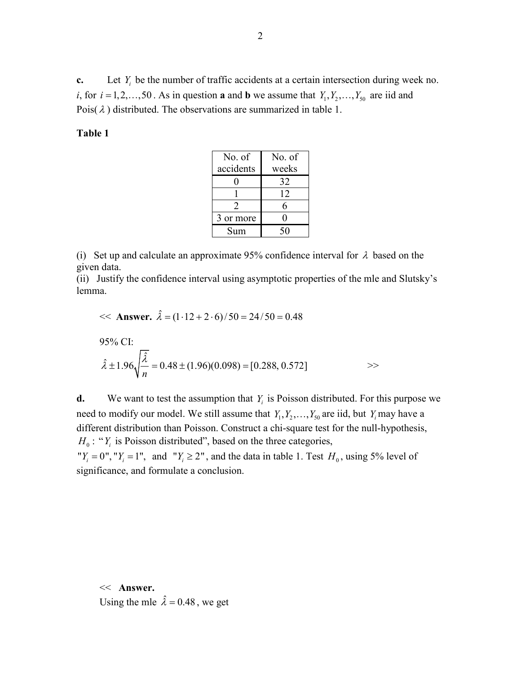**c.** Let  $Y_i$  be the number of traffic accidents at a certain intersection during week no. *i*, for  $i = 1, 2, \ldots, 50$ . As in question **a** and **b** we assume that  $Y_1, Y_2, \ldots, Y_{50}$  are iid and Pois( $\lambda$ ) distributed. The observations are summarized in table 1.

#### **Table 1**

| No. of    | No. of |  |
|-----------|--------|--|
| accidents | weeks  |  |
|           | 32     |  |
|           | 12     |  |
| 2         | 6      |  |
| 3 or more | 0      |  |
| Sum       | 50     |  |

(i) Set up and calculate an approximate 95% confidence interval for  $\lambda$  based on the given data.

(ii) Justify the confidence interval using asymptotic properties of the mle and Slutsky's lemma.

<< **Answer.** 
$$
\hat{\lambda} = (1.12 + 2.6)/50 = 24/50 = 0.48
$$
  
95% CI:  
 $\hat{\lambda} \pm 1.96 \sqrt{\frac{\hat{\lambda}}{n}} = 0.48 \pm (1.96)(0.098) = [0.288, 0.572]$   $\Rightarrow$ 

**d.** We want to test the assumption that  $Y_i$  is Poisson distributed. For this purpose we need to modify our model. We still assume that  $Y_1, Y_2, \ldots, Y_{50}$  are iid, but  $Y_i$  may have a different distribution than Poisson. Construct a chi-square test for the null-hypothesis,  $H_0$ : " $Y_i$  is Poisson distributed", based on the three categories, " $Y_i = 0$ ", " $Y_i = 1$ ", and " $Y_i \ge 2$ ", and the data in table 1. Test  $H_0$ , using 5% level of significance, and formulate a conclusion.

<< **Answer.** Using the mle  $\hat{\lambda} = 0.48$ , we get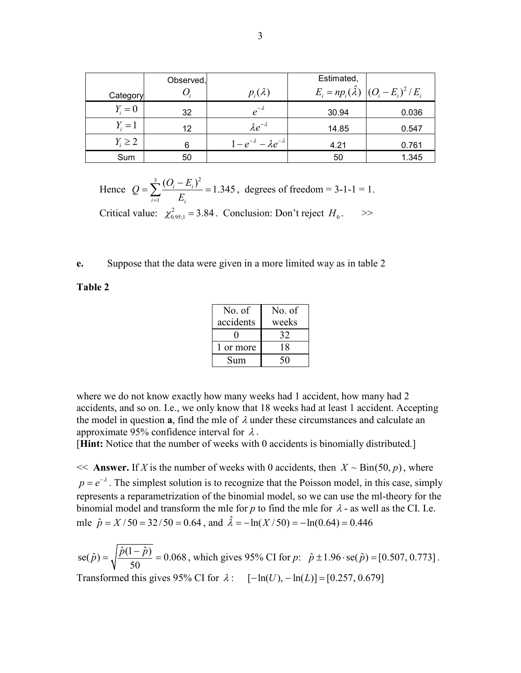|              | Observed, |                                       | Estimated, |                                                                |
|--------------|-----------|---------------------------------------|------------|----------------------------------------------------------------|
| Category     |           | $p_i(\lambda)$                        |            | $E_i = np_i(\hat{\lambda}) \left  (O_i - E_i)^2 / E_i \right $ |
| $Y_i=0$      | 32        | $e^{-\lambda}$                        | 30.94      | 0.036                                                          |
| $Y_i=1$      | 12        | $\lambda e^{-\lambda}$                | 14.85      | 0.547                                                          |
| $Y_i \geq 2$ | 6         | $1-e^{-\lambda}-\lambda e^{-\lambda}$ | 4.21       | 0.761                                                          |
| Sum          | 50        |                                       | 50         | 1.345                                                          |

Hence 3  $(Q - F)^2$ 1  $\frac{(O_i - E_i)^2}{n} = 1.345$  $i=1$   $L_i$  $Q = \sum_{i=1}^{3} \frac{(O_i - E)}{T}$  $=\sum_{i=1}^{3}\frac{(O_i - E_i)^2}{E_i} = 1.345$ , degrees of freedom = 3-1-1 = 1. Critical value:  $\chi^2_{0.95;1} = 3.84$ . Conclusion: Don't reject  $H_0$ .  $>$ 

#### **e.** Suppose that the data were given in a more limited way as in table 2

**Table 2**

| No. of    | No. of |
|-----------|--------|
| accidents | weeks  |
|           | 32     |
| 1 or more | 18     |
| Sum       | 50     |

where we do not know exactly how many weeks had 1 accident, how many had 2 accidents, and so on. I.e., we only know that 18 weeks had at least 1 accident. Accepting the model in question **a**, find the mle of  $\lambda$  under these circumstances and calculate an approximate 95% confidence interval for  $\lambda$ .

[**Hint:** Notice that the number of weeks with 0 accidents is binomially distributed.]

 $<<$  **Answer.** If *X* is the number of weeks with 0 accidents, then  $X \sim Bin(50, p)$ , where  $p = e^{-\lambda}$ . The simplest solution is to recognize that the Poisson model, in this case, simply represents a reparametrization of the binomial model, so we can use the ml-theory for the binomial model and transform the mle for *p* to find the mle for  $\lambda$  - as well as the CI. I.e. mle  $\hat{p} = X/50 = 32/50 = 0.64$ , and  $\hat{\lambda} = -\ln(X/50) = -\ln(0.64) = 0.446$ 

 $se(\hat{p}) = \sqrt{\frac{\hat{p}(1-\hat{p})}{\hat{p}(1-\hat{p})}} = 0.068$ 50  $\hat{p}$  *p* =  $\sqrt{\frac{\hat{p}(1-\hat{p})}{5.2}}$  = 0.068, which gives 95% CI for *p*:  $\hat{p} \pm 1.96 \cdot \text{se}(\hat{p}) = [0.507, 0.773]$ . Transformed this gives 95% CI for  $\lambda$  :  $[-\ln(U), -\ln(L)] = [0.257, 0.679]$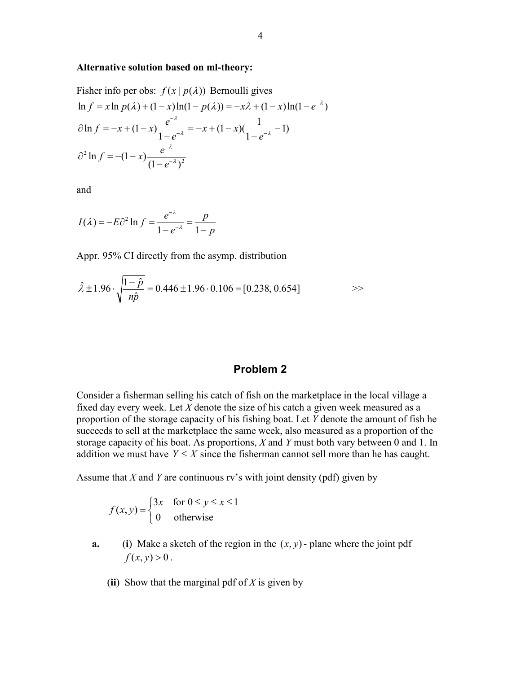#### **Alternative solution based on ml-theory:**

Fisher info per obs: 
$$
f(x | p(\lambda))
$$
 Bernoulli gives  
\n
$$
\ln f = x \ln p(\lambda) + (1 - x) \ln(1 - p(\lambda)) = -x\lambda + (1 - x) \ln(1 - e^{-\lambda})
$$
\n
$$
\partial \ln f = -x + (1 - x) \frac{e^{-\lambda}}{1 - e^{-\lambda}} = -x + (1 - x) \frac{1}{1 - e^{-\lambda}} - 1
$$
\n
$$
\partial^2 \ln f = -(1 - x) \frac{e^{-\lambda}}{(1 - e^{-\lambda})^2}
$$

and

$$
I(\lambda) = -E\partial^2 \ln f = \frac{e^{-\lambda}}{1 - e^{-\lambda}} = \frac{p}{1 - p}
$$

Appr. 95% CI directly from the asymp. distribution

$$
\hat{\lambda} \pm 1.96 \cdot \sqrt{\frac{1-\hat{p}}{n\hat{p}}} = 0.446 \pm 1.96 \cdot 0.106 = [0.238, 0.654] \implies
$$

### **Problem 2**

Consider a fisherman selling his catch of fish on the marketplace in the local village a fixed day every week. Let *X* denote the size of his catch a given week measured as a proportion of the storage capacity of his fishing boat. Let *Y* denote the amount of fish he succeeds to sell at the marketplace the same week, also measured as a proportion of the storage capacity of his boat. As proportions, *X* and *Y* must both vary between 0 and 1. In addition we must have  $Y \leq X$  since the fisherman cannot sell more than he has caught.

Assume that *X* and *Y* are continuous rv's with joint density (pdf) given by

$$
f(x, y) = \begin{cases} 3x & \text{for } 0 \le y \le x \le 1 \\ 0 & \text{otherwise} \end{cases}
$$

- **a.** (**i**) Make a sketch of the region in the  $(x, y)$ -plane where the joint pdf  $f(x, y) > 0$ .
	- (**ii**) Show that the marginal pdf of *X* is given by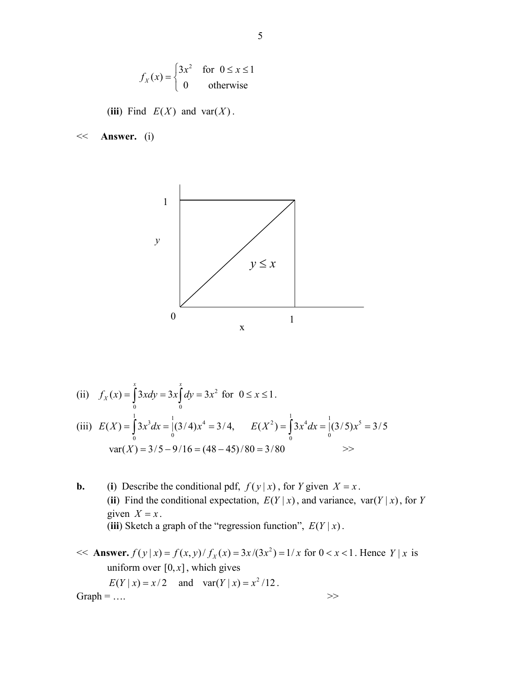$$
f_X(x) = \begin{cases} 3x^2 & \text{for } 0 \le x \le 1 \\ 0 & \text{otherwise} \end{cases}
$$

(iii) Find  $E(X)$  and var $(X)$ .

<< **Answer.** (i)



(ii) 
$$
f_X(x) = \int_0^x 3xdy = 3x \int_0^x dy = 3x^2
$$
 for  $0 \le x \le 1$ .  
\n(iii)  $E(X) = \int_0^1 3x^3 dx = \int_0^1 (3/4)x^4 = 3/4$ ,  $E(X^2) = \int_0^1 3x^4 dx = \int_0^1 (3/5)x^5 = 3/5$   
\n $var(X) = 3/5 - 9/16 = (48 - 45)/80 = 3/80$ 

- **b.** (**i**) Describe the conditional pdf,  $f(y|x)$ , for *Y* given  $X = x$ . (ii) Find the conditional expectation,  $E(Y|x)$ , and variance, var $(Y|x)$ , for *Y* given  $X = x$ . (iii) Sketch a graph of the "regression function",  $E(Y|x)$ .
- $<<$  **Answer.**  $f(y|x) = f(x, y)/f_x(x) = 3x/(3x^2) = 1/x$  for  $0 < x < 1$ . Hence *Y* | *x* is uniform over  $[0, x]$ , which gives  $E(Y | x) = x/2$  and  $var(Y | x) = x^2/12$ . Graph =  $\dots$  >>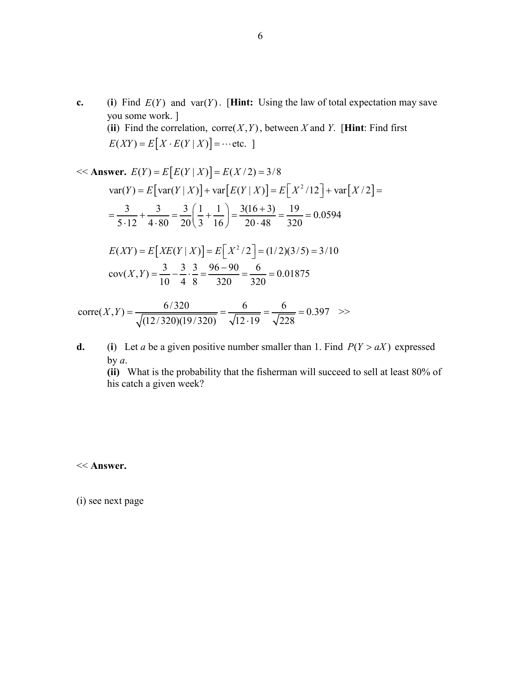**c.** (**i**) Find  $E(Y)$  and var( $Y$ ). [**Hint:** Using the law of total expectation may save you some work. ] (ii) Find the correlation,  $\text{corr}(X, Y)$ , between *X* and *Y*. [Hint: Find first  $E(XY) = E[X \cdot E(Y | X)] = \cdots$  etc. ]

<< **Answer.** 
$$
E(Y) = E[E(Y | X)] = E(X/2) = 3/8
$$
  
\n
$$
var(Y) = E[var(Y | X)] + var[E(Y | X)] = E[X^2/12] + var[X/2] =
$$
\n
$$
= \frac{3}{5 \cdot 12} + \frac{3}{4 \cdot 80} = \frac{3}{20} \left(\frac{1}{3} + \frac{1}{16}\right) = \frac{3(16+3)}{20 \cdot 48} = \frac{19}{320} = 0.0594
$$
\n
$$
E(XY) = E[XE(Y | X)] = E[X^2/2] = (1/2)(3/5) = 3/10
$$
\n
$$
cov(X, Y) = \frac{3}{10} - \frac{3}{4} \cdot \frac{3}{8} = \frac{96 - 90}{320} = \frac{6}{320} = 0.01875
$$

$$
corre(X,Y) = \frac{6/320}{\sqrt{(12/320)(19/320)}} = \frac{6}{\sqrt{12 \cdot 19}} = \frac{6}{\sqrt{228}} = 0.397 \quad > \frac{1}{228}
$$

**d.** (**i**) Let *a* be a given positive number smaller than 1. Find  $P(Y > aX)$  expressed by *a*.

**(ii)** What is the probability that the fisherman will succeed to sell at least 80% of his catch a given week?

<< **Answer.**

(i) see next page